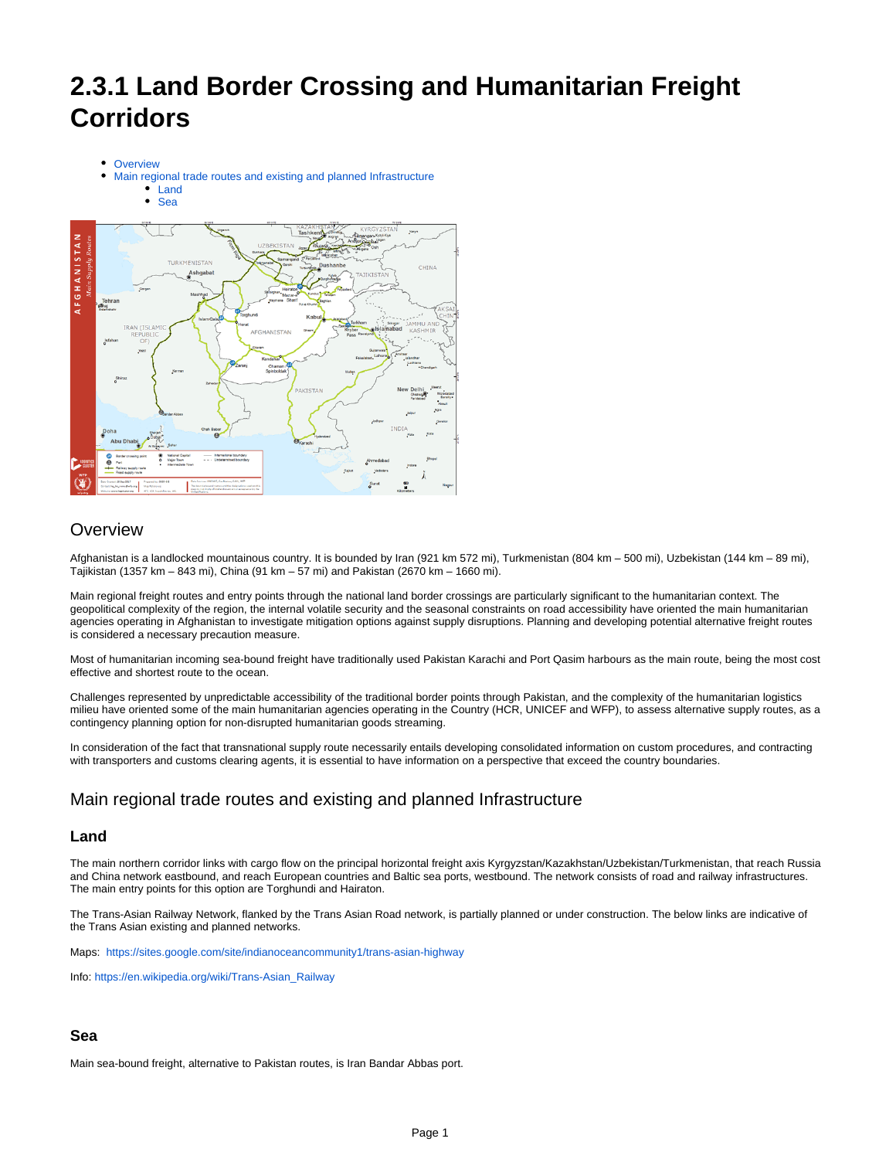# **2.3.1 Land Border Crossing and Humanitarian Freight Corridors**

- $\bullet$ **[Overview](#page-0-0)**
- [Main regional trade routes and existing and planned Infrastructure](#page-0-1)  $\bullet$ 
	- [Land](#page-0-2)



## <span id="page-0-0"></span>**Overview**

Afghanistan is a landlocked mountainous country. It is bounded by Iran (921 km 572 mi), Turkmenistan (804 km – 500 mi), Uzbekistan (144 km – 89 mi), Tajikistan (1357 km – 843 mi), China (91 km – 57 mi) and Pakistan (2670 km – 1660 mi).

Main regional freight routes and entry points through the national land border crossings are particularly significant to the humanitarian context. The geopolitical complexity of the region, the internal volatile security and the seasonal constraints on road accessibility have oriented the main humanitarian agencies operating in Afghanistan to investigate mitigation options against supply disruptions. Planning and developing potential alternative freight routes is considered a necessary precaution measure.

Most of humanitarian incoming sea-bound freight have traditionally used Pakistan Karachi and Port Qasim harbours as the main route, being the most cost effective and shortest route to the ocean.

Challenges represented by unpredictable accessibility of the traditional border points through Pakistan, and the complexity of the humanitarian logistics milieu have oriented some of the main humanitarian agencies operating in the Country (HCR, UNICEF and WFP), to assess alternative supply routes, as a contingency planning option for non-disrupted humanitarian goods streaming.

In consideration of the fact that transnational supply route necessarily entails developing consolidated information on custom procedures, and contracting with transporters and customs clearing agents, it is essential to have information on a perspective that exceed the country boundaries.

### <span id="page-0-1"></span>Main regional trade routes and existing and planned Infrastructure

#### <span id="page-0-2"></span>**Land**

The main northern corridor links with cargo flow on the principal horizontal freight axis Kyrgyzstan/Kazakhstan/Uzbekistan/Turkmenistan, that reach Russia and China network eastbound, and reach European countries and Baltic sea ports, westbound. The network consists of road and railway infrastructures. The main entry points for this option are Torghundi and Hairaton.

The Trans-Asian Railway Network, flanked by the Trans Asian Road network, is partially planned or under construction. The below links are indicative of the Trans Asian existing and planned networks.

Maps: <https://sites.google.com/site/indianoceancommunity1/trans-asian-highway>

Info: [https://en.wikipedia.org/wiki/Trans-Asian\\_Railway](https://en.wikipedia.org/wiki/Trans-Asian_Railway)

#### <span id="page-0-3"></span>**Sea**

Main sea-bound freight, alternative to Pakistan routes, is Iran Bandar Abbas port.